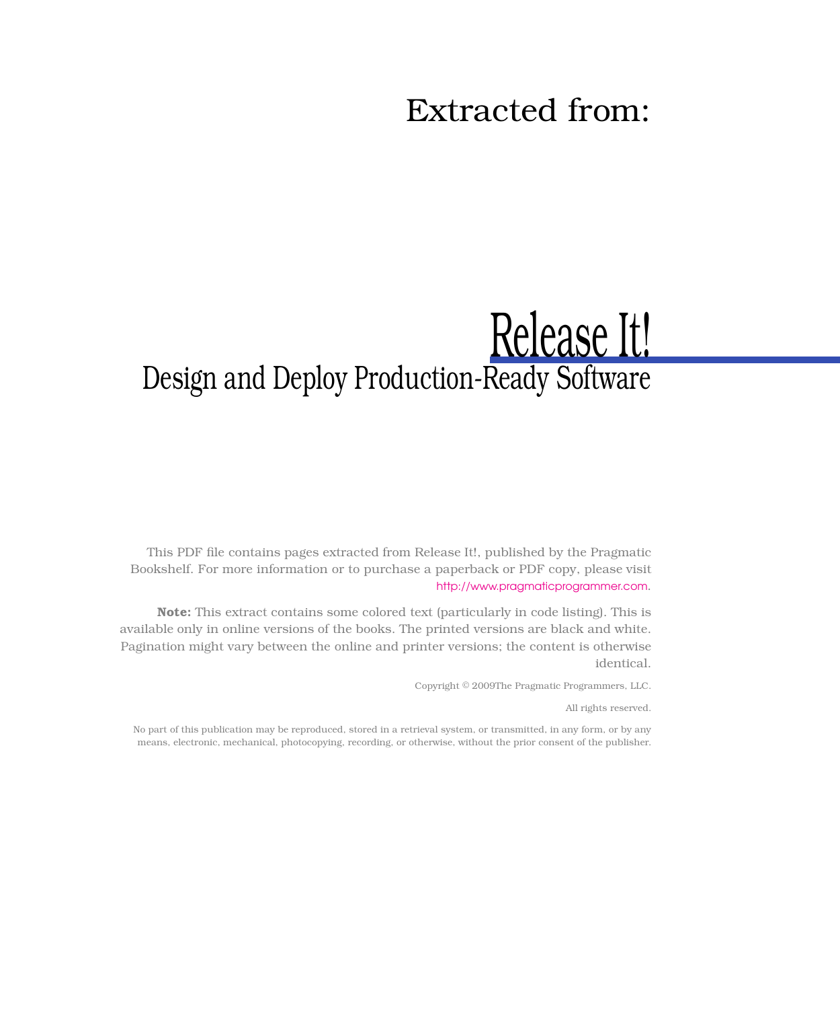### Extracted from:

### Release It! Design and Deploy Production-Ready Software

This PDF file contains pages extracted from Release It!, published by the Pragmatic Bookshelf. For more information or to purchase a paperback or PDF copy, please visit <http://www.pragmaticprogrammer.com>.

**Note:** This extract contains some colored text (particularly in code listing). This is available only in online versions of the books. The printed versions are black and white. Pagination might vary between the online and printer versions; the content is otherwise identical.

Copyright © 2009The Pragmatic Programmers, LLC.

All rights reserved.

No part of this publication may be reproduced, stored in a retrieval system, or transmitted, in any form, or by any means, electronic, mechanical, photocopying, recording, or otherwise, without the prior consent of the publisher.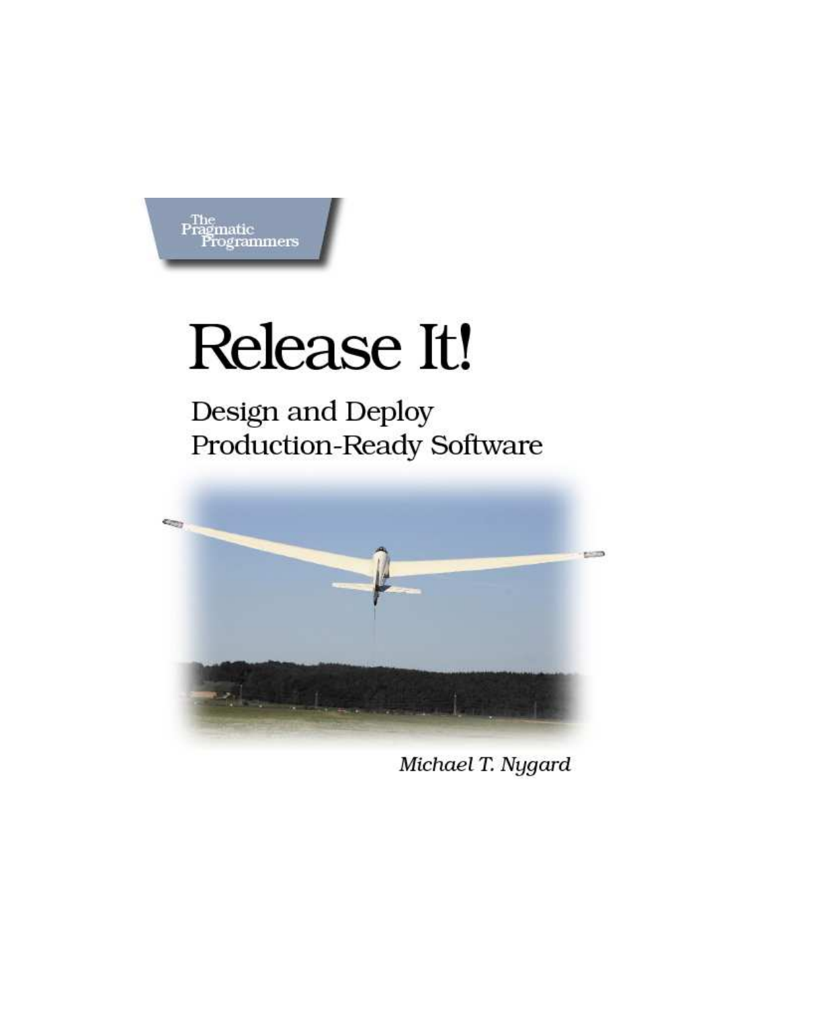

# Release It!

Design and Deploy Production-Ready Software



Michael T. Nygard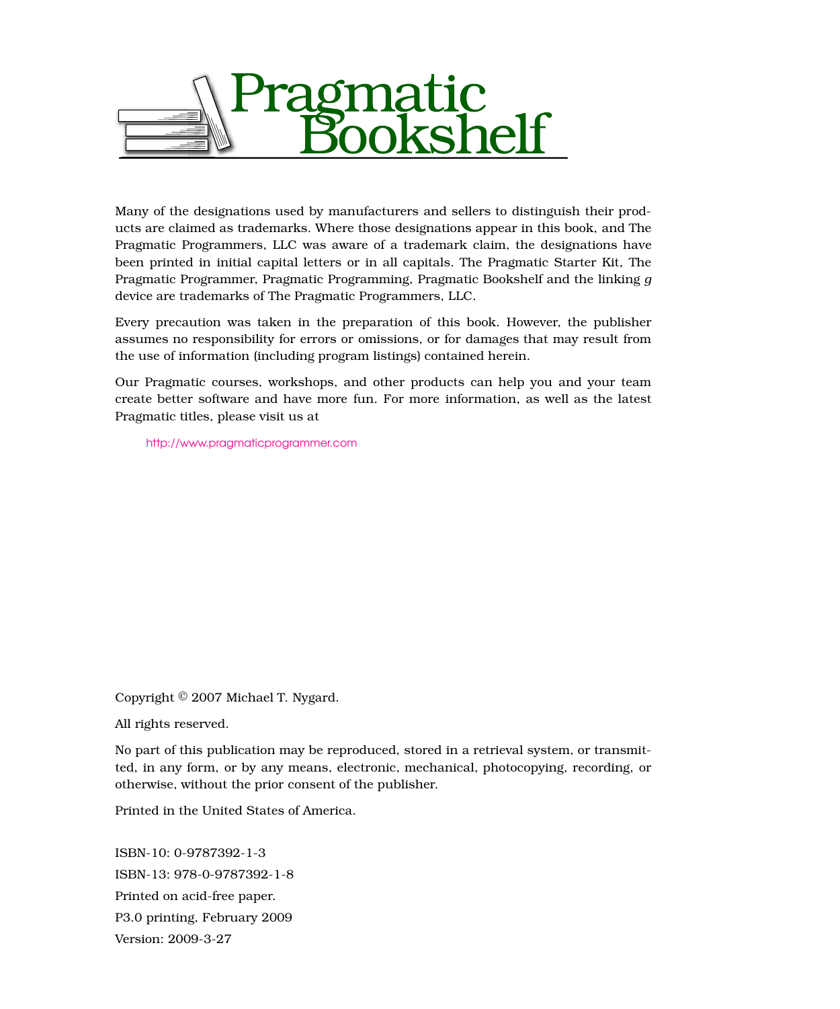

Many of the designations used by manufacturers and sellers to distinguish their products are claimed as trademarks. Where those designations appear in this book, and The Pragmatic Programmers, LLC was aware of a trademark claim, the designations have been printed in initial capital letters or in all capitals. The Pragmatic Starter Kit, The Pragmatic Programmer, Pragmatic Programming, Pragmatic Bookshelf and the linking *g* device are trademarks of The Pragmatic Programmers, LLC.

Every precaution was taken in the preparation of this book. However, the publisher assumes no responsibility for errors or omissions, or for damages that may result from the use of information (including program listings) contained herein.

Our Pragmatic courses, workshops, and other products can help you and your team create better software and have more fun. For more information, as well as the latest Pragmatic titles, please visit us at

<http://www.pragmaticprogrammer.com>

Copyright © 2007 Michael T. Nygard.

All rights reserved.

No part of this publication may be reproduced, stored in a retrieval system, or transmitted, in any form, or by any means, electronic, mechanical, photocopying, recording, or otherwise, without the prior consent of the publisher.

Printed in the United States of America.

ISBN-10: 0-9787392-1-3 ISBN-13: 978-0-9787392-1-8 Printed on acid-free paper. P3.0 printing, February 2009 Version: 2009-3-27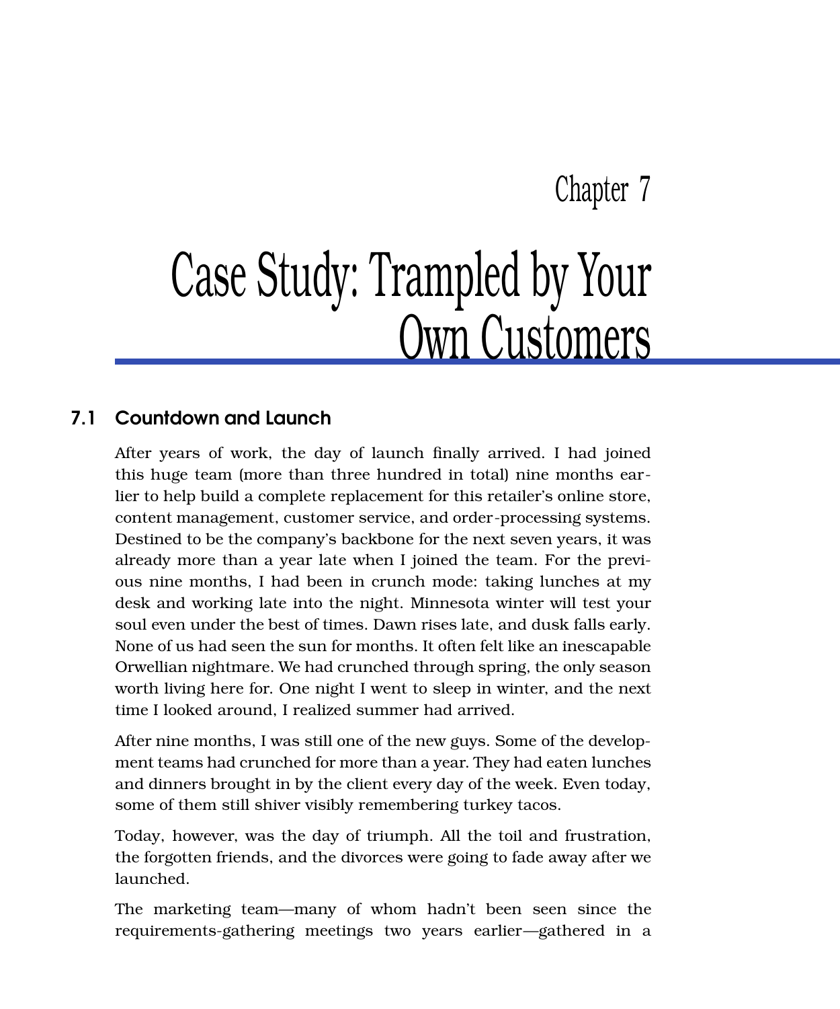### Chapter 7

# Case Study: Trampled by Your Own Customers

### 7.1 Countdown and Launch

After years of work, the day of launch finally arrived. I had joined this huge team (more than three hundred in total) nine months earlier to help build a complete replacement for this retailer's online store, content management, customer service, and order-processing systems. Destined to be the company's backbone for the next seven years, it was already more than a year late when I joined the team. For the previous nine months, I had been in crunch mode: taking lunches at my desk and working late into the night. Minnesota winter will test your soul even under the best of times. Dawn rises late, and dusk falls early. None of us had seen the sun for months. It often felt like an inescapable Orwellian nightmare. We had crunched through spring, the only season worth living here for. One night I went to sleep in winter, and the next time I looked around, I realized summer had arrived.

After nine months, I was still one of the new guys. Some of the development teams had crunched for more than a year. They had eaten lunches and dinners brought in by the client every day of the week. Even today, some of them still shiver visibly remembering turkey tacos.

Today, however, was the day of triumph. All the toil and frustration, the forgotten friends, and the divorces were going to fade away after we launched.

The marketing team—many of whom hadn't been seen since the requirements-gathering meetings two years earlier—gathered in a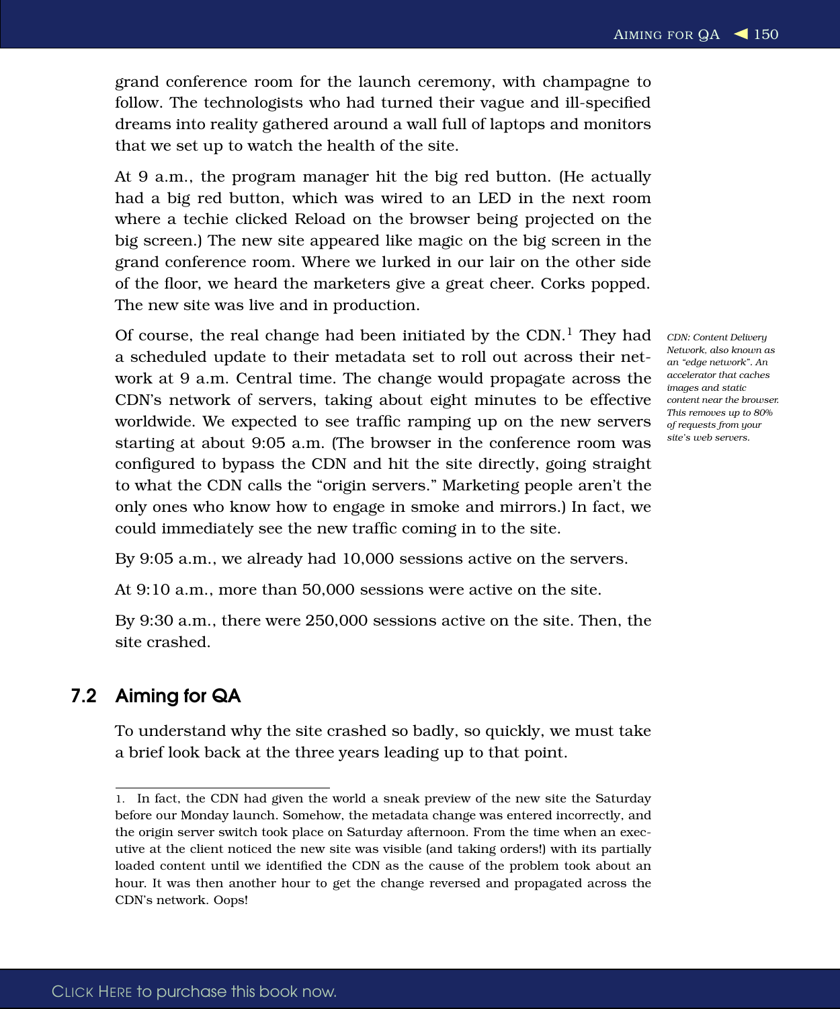grand conference room for the launch ceremony, with champagne to follow. The technologists who had turned their vague and ill-specified dreams into reality gathered around a wall full of laptops and monitors that we set up to watch the health of the site.

At 9 a.m., the program manager hit the big red button. (He actually had a big red button, which was wired to an LED in the next room where a techie clicked Reload on the browser being projected on the big screen.) The new site appeared like magic on the big screen in the grand conference room. Where we lurked in our lair on the other side of the floor, we heard the marketers give a great cheer. Corks popped. The new site was live and in production.

Of course, the real change had been initiated by the CDN.<sup>1</sup> They had *CDN: Content Delivery* a scheduled update to their metadata set to roll out across their network at 9 a.m. Central time. The change would propagate across the CDN's network of servers, taking about eight minutes to be effective worldwide. We expected to see traffic ramping up on the new servers starting at about 9:05 a.m. (The browser in the conference room was configured to bypass the CDN and hit the site directly, going straight to what the CDN calls the "origin servers." Marketing people aren't the only ones who know how to engage in smoke and mirrors.) In fact, we could immediately see the new traffic coming in to the site.

*Network, also known as an "edge network". An accelerator that caches images and static content near the browser. This removes up to 80% of requests from your site's web servers.*

By 9:05 a.m., we already had 10,000 sessions active on the servers.

At 9:10 a.m., more than 50,000 sessions were active on the site.

By 9:30 a.m., there were 250,000 sessions active on the site. Then, the site crashed.

### 7.2 Aiming for QA

To understand why the site crashed so badly, so quickly, we must take a brief look back at the three years leading up to that point.

<sup>1.</sup> In fact, the CDN had given the world a sneak preview of the new site the Saturday before our Monday launch. Somehow, the metadata change was entered incorrectly, and the origin server switch took place on Saturday afternoon. From the time when an executive at the client noticed the new site was visible (and taking orders!) with its partially loaded content until we identified the CDN as the cause of the problem took about an hour. It was then another hour to get the change reversed and propagated across the CDN's network. Oops!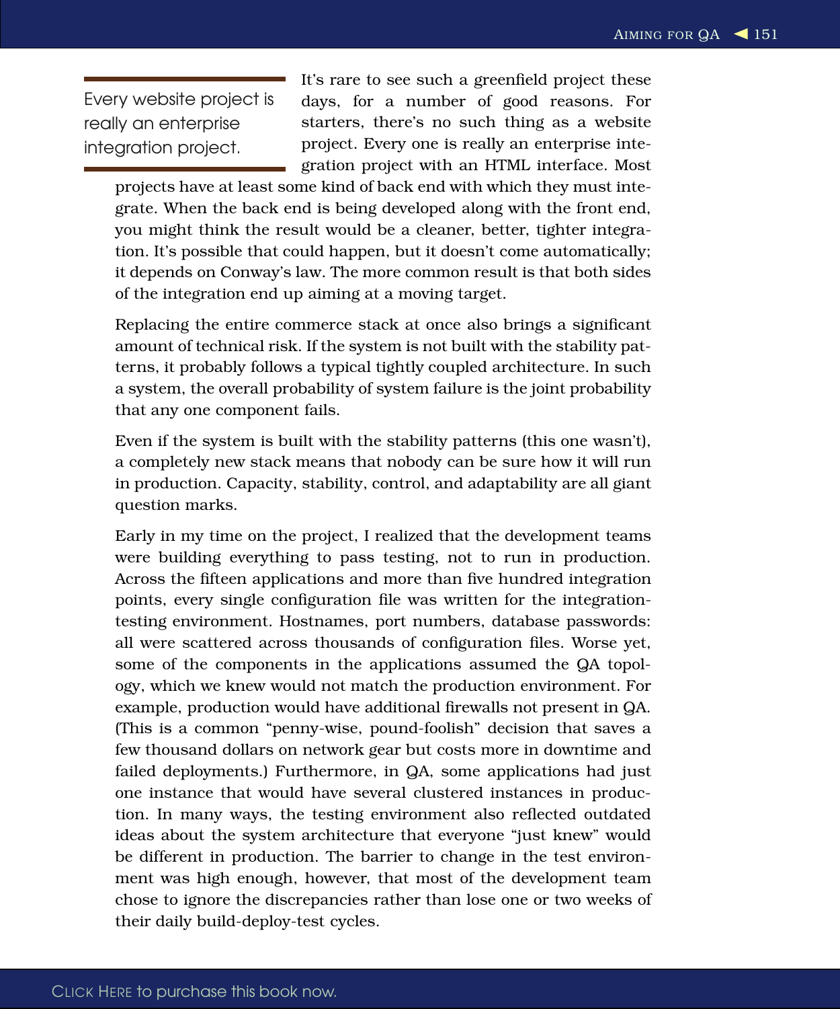Every website project is really an enterprise integration project.

It's rare to see such a greenfield project these days, for a number of good reasons. For starters, there's no such thing as a website project. Every one is really an enterprise integration project with an HTML interface. Most

projects have at least some kind of back end with which they must integrate. When the back end is being developed along with the front end, you might think the result would be a cleaner, better, tighter integration. It's possible that could happen, but it doesn't come automatically; it depends on Conway's law. The more common result is that both sides of the integration end up aiming at a moving target.

Replacing the entire commerce stack at once also brings a significant amount of technical risk. If the system is not built with the stability patterns, it probably follows a typical tightly coupled architecture. In such a system, the overall probability of system failure is the joint probability that any one component fails.

Even if the system is built with the stability patterns (this one wasn't), a completely new stack means that nobody can be sure how it will run in production. Capacity, stability, control, and adaptability are all giant question marks.

Early in my time on the project, I realized that the development teams were building everything to pass testing, not to run in production. Across the fifteen applications and more than five hundred integration points, every single configuration file was written for the integrationtesting environment. Hostnames, port numbers, database passwords: all were scattered across thousands of configuration files. Worse yet, some of the components in the applications assumed the QA topology, which we knew would not match the production environment. For example, production would have additional firewalls not present in QA. (This is a common "penny-wise, pound-foolish" decision that saves a few thousand dollars on network gear but costs more in downtime and failed deployments.) Furthermore, in QA, some applications had just one instance that would have several clustered instances in production. In many ways, the testing environment also reflected outdated ideas about the system architecture that everyone "just knew" would be different in production. The barrier to change in the test environment was high enough, however, that most of the development team chose to ignore the discrepancies rather than lose one or two weeks of their daily build-deploy-test cycles.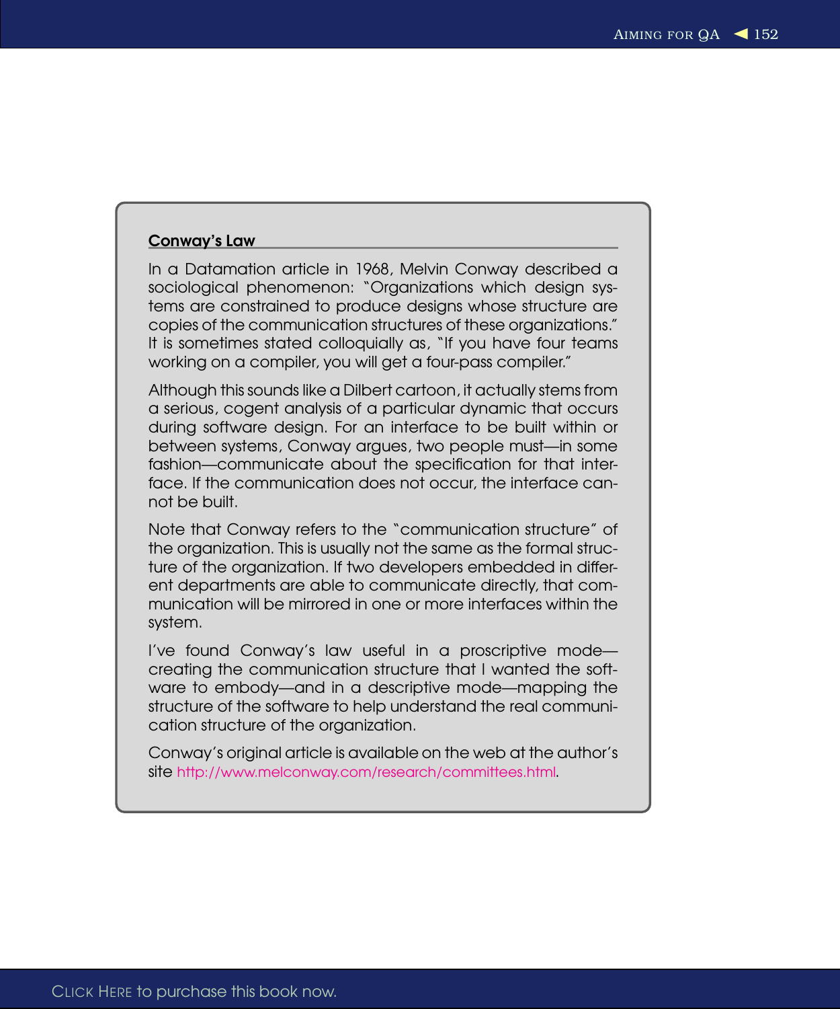### Conway's Law

In a Datamation article in 1968, Melvin Conway described a sociological phenomenon: "Organizations which design systems are constrained to produce designs whose structure are copies of the communication structures of these organizations." It is sometimes stated colloquially as, "If you have four teams working on a compiler, you will get a four-pass compiler."

Although this sounds like a Dilbert cartoon, it actually stems from a serious, cogent analysis of a particular dynamic that occurs during software design. For an interface to be built within or between systems, Conway argues, two people must—in some fashion—communicate about the specification for that interface. If the communication does not occur, the interface cannot be built.

Note that Conway refers to the "communication structure" of the organization. This is usually not the same as the formal structure of the organization. If two developers embedded in different departments are able to communicate directly, that communication will be mirrored in one or more interfaces within the system.

I've found Conway's law useful in a proscriptive mode creating the communication structure that I wanted the software to embody—and in a descriptive mode—mapping the structure of the software to help understand the real communication structure of the organization.

Conway's original article is available on the web at the author's site <http://www.melconway.com/research/committees.html>.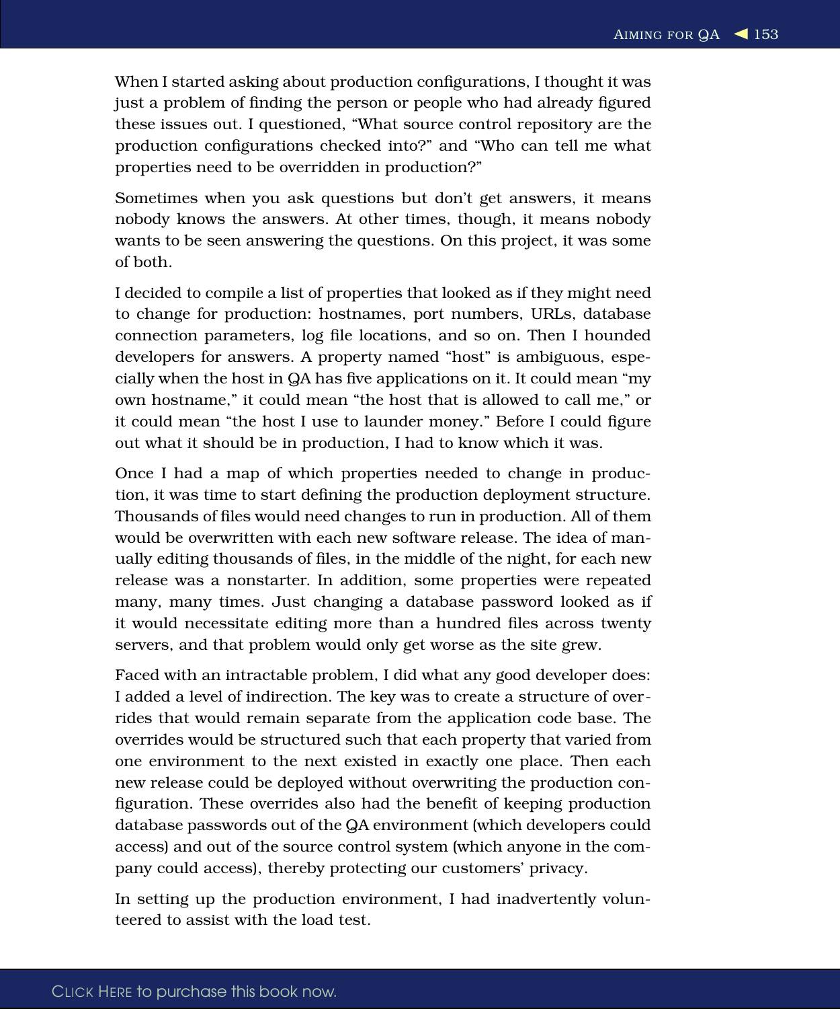When I started asking about production configurations, I thought it was just a problem of finding the person or people who had already figured these issues out. I questioned, "What source control repository are the production configurations checked into?" and "Who can tell me what properties need to be overridden in production?"

Sometimes when you ask questions but don't get answers, it means nobody knows the answers. At other times, though, it means nobody wants to be seen answering the questions. On this project, it was some of both.

I decided to compile a list of properties that looked as if they might need to change for production: hostnames, port numbers, URLs, database connection parameters, log file locations, and so on. Then I hounded developers for answers. A property named "host" is ambiguous, especially when the host in QA has five applications on it. It could mean "my own hostname," it could mean "the host that is allowed to call me," or it could mean "the host I use to launder money." Before I could figure out what it should be in production, I had to know which it was.

Once I had a map of which properties needed to change in production, it was time to start defining the production deployment structure. Thousands of files would need changes to run in production. All of them would be overwritten with each new software release. The idea of manually editing thousands of files, in the middle of the night, for each new release was a nonstarter. In addition, some properties were repeated many, many times. Just changing a database password looked as if it would necessitate editing more than a hundred files across twenty servers, and that problem would only get worse as the site grew.

Faced with an intractable problem, I did what any good developer does: I added a level of indirection. The key was to create a structure of overrides that would remain separate from the application code base. The overrides would be structured such that each property that varied from one environment to the next existed in exactly one place. Then each new release could be deployed without overwriting the production configuration. These overrides also had the benefit of keeping production database passwords out of the QA environment (which developers could access) and out of the source control system (which anyone in the company could access), thereby protecting our customers' privacy.

In setting up the production environment, I had inadvertently volunteered to assist with the load test.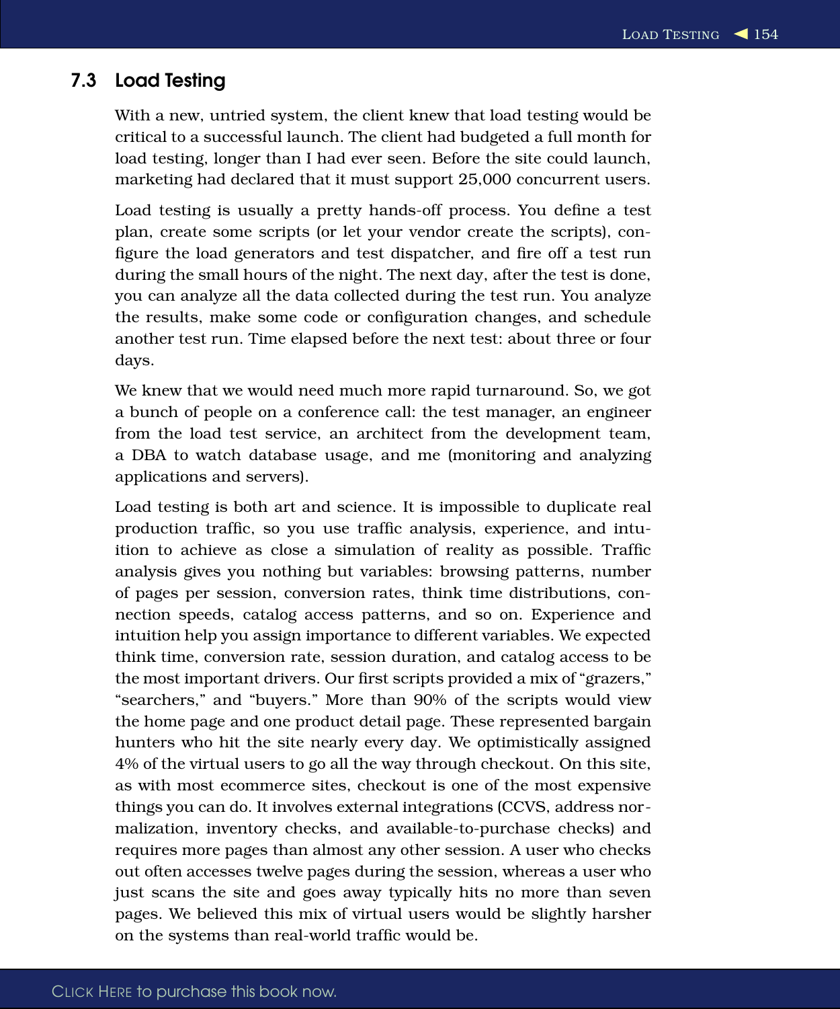### 7.3 Load Testing

With a new, untried system, the client knew that load testing would be critical to a successful launch. The client had budgeted a full month for load testing, longer than I had ever seen. Before the site could launch, marketing had declared that it must support 25,000 concurrent users.

Load testing is usually a pretty hands-off process. You define a test plan, create some scripts (or let your vendor create the scripts), configure the load generators and test dispatcher, and fire off a test run during the small hours of the night. The next day, after the test is done, you can analyze all the data collected during the test run. You analyze the results, make some code or configuration changes, and schedule another test run. Time elapsed before the next test: about three or four days.

We knew that we would need much more rapid turnaround. So, we got a bunch of people on a conference call: the test manager, an engineer from the load test service, an architect from the development team, a DBA to watch database usage, and me (monitoring and analyzing applications and servers).

Load testing is both art and science. It is impossible to duplicate real production traffic, so you use traffic analysis, experience, and intuition to achieve as close a simulation of reality as possible. Traffic analysis gives you nothing but variables: browsing patterns, number of pages per session, conversion rates, think time distributions, connection speeds, catalog access patterns, and so on. Experience and intuition help you assign importance to different variables. We expected think time, conversion rate, session duration, and catalog access to be the most important drivers. Our first scripts provided a mix of "grazers," "searchers," and "buyers." More than 90% of the scripts would view the home page and one product detail page. These represented bargain hunters who hit the site nearly every day. We optimistically assigned 4% of the virtual users to go all the way through checkout. On this site, as with most ecommerce sites, checkout is one of the most expensive things you can do. It involves external integrations (CCVS, address normalization, inventory checks, and available-to-purchase checks) and requires more pages than almost any other session. A user who checks out often accesses twelve pages during the session, whereas a user who just scans the site and goes away typically hits no more than seven pages. We believed this mix of virtual users would be slightly harsher on the systems than real-world traffic would be.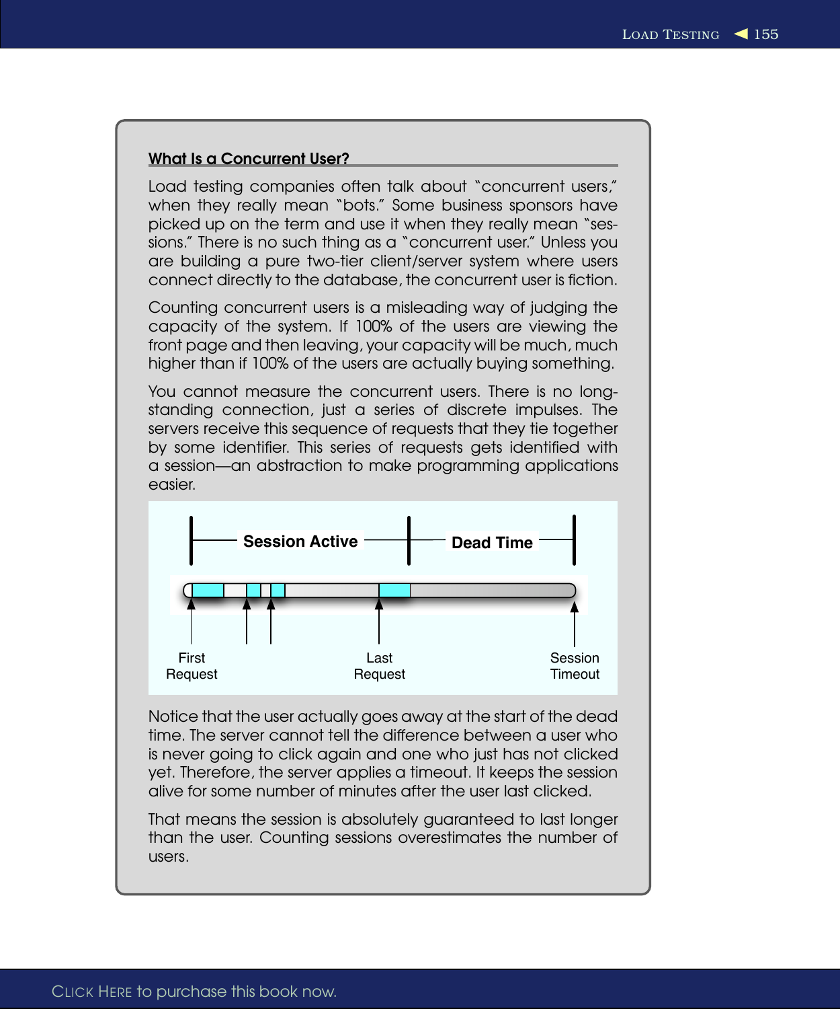### What Is a Concurrent User?

Load testing companies often talk about "concurrent users," when they really mean "bots." Some business sponsors have picked up on the term and use it when they really mean "sessions." There is no such thing as a "concurrent user." Unless you are building a pure two-tier client/server system where users connect directly to the database, the concurrent user is fiction.

Counting concurrent users is a misleading way of judging the capacity of the system. If 100% of the users are viewing the front page and then leaving, your capacity will be much, much higher than if 100% of the users are actually buying something.

You cannot measure the concurrent users. There is no longstanding connection, just a series of discrete impulses. The servers receive this sequence of requests that they tie together by some identifier. This series of requests gets identified with a session—an abstraction to make programming applications easier.



Notice that the user actually goes away at the start of the dead time. The server cannot tell the difference between a user who is never going to click again and one who just has not clicked yet. Therefore, the server applies a timeout. It keeps the session alive for some number of minutes after the user last clicked.

That means the session is absolutely guaranteed to last longer than the user. Counting sessions overestimates the number of users.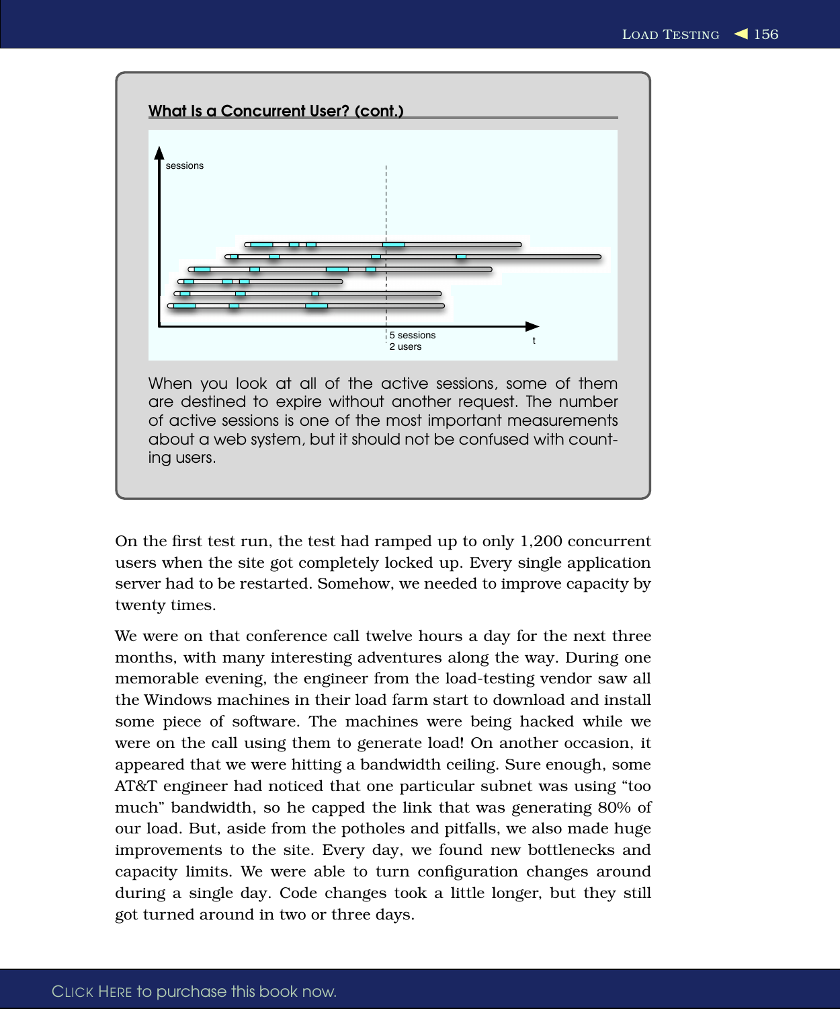

On the first test run, the test had ramped up to only 1,200 concurrent users when the site got completely locked up. Every single application server had to be restarted. Somehow, we needed to improve capacity by twenty times.

We were on that conference call twelve hours a day for the next three months, with many interesting adventures along the way. During one memorable evening, the engineer from the load-testing vendor saw all the Windows machines in their load farm start to download and install some piece of software. The machines were being hacked while we were on the call using them to generate load! On another occasion, it appeared that we were hitting a bandwidth ceiling. Sure enough, some AT&T engineer had noticed that one particular subnet was using "too much" bandwidth, so he capped the link that was generating 80% of our load. But, aside from the potholes and pitfalls, we also made huge improvements to the site. Every day, we found new bottlenecks and capacity limits. We were able to turn configuration changes around during a single day. Code changes took a little longer, but they still got turned around in two or three days.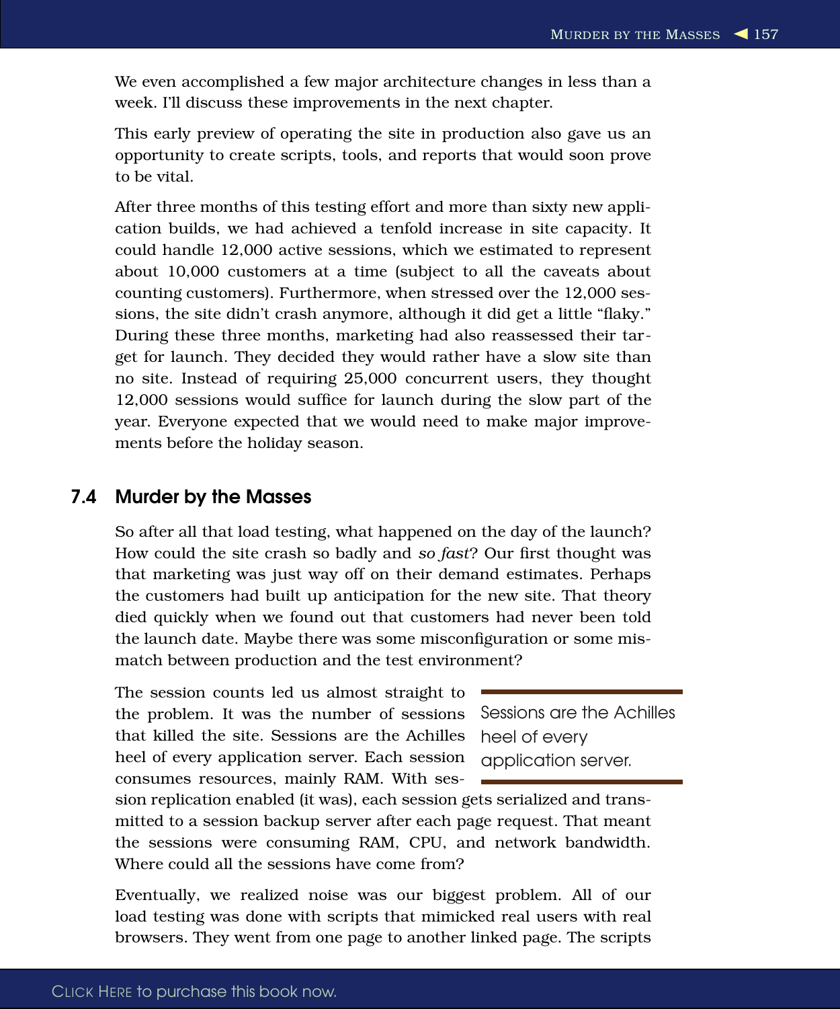We even accomplished a few major architecture changes in less than a week. I'll discuss these improvements in the next chapter.

This early preview of operating the site in production also gave us an opportunity to create scripts, tools, and reports that would soon prove to be vital.

After three months of this testing effort and more than sixty new application builds, we had achieved a tenfold increase in site capacity. It could handle 12,000 active sessions, which we estimated to represent about 10,000 customers at a time (subject to all the caveats about counting customers). Furthermore, when stressed over the 12,000 sessions, the site didn't crash anymore, although it did get a little "flaky." During these three months, marketing had also reassessed their target for launch. They decided they would rather have a slow site than no site. Instead of requiring 25,000 concurrent users, they thought 12,000 sessions would suffice for launch during the slow part of the year. Everyone expected that we would need to make major improvements before the holiday season.

### 7.4 Murder by the Masses

So after all that load testing, what happened on the day of the launch? How could the site crash so badly and *so fast*? Our first thought was that marketing was just way off on their demand estimates. Perhaps the customers had built up anticipation for the new site. That theory died quickly when we found out that customers had never been told the launch date. Maybe there was some misconfiguration or some mismatch between production and the test environment?

The session counts led us almost straight to the problem. It was the number of sessions that killed the site. Sessions are the Achilles heel of every application server. Each session consumes resources, mainly RAM. With ses-

Sessions are the Achilles heel of every application server.

sion replication enabled (it was), each session gets serialized and transmitted to a session backup server after each page request. That meant the sessions were consuming RAM, CPU, and network bandwidth. Where could all the sessions have come from?

Eventually, we realized noise was our biggest problem. All of our load testing was done with scripts that mimicked real users with real browsers. They went from one page to another linked page. The scripts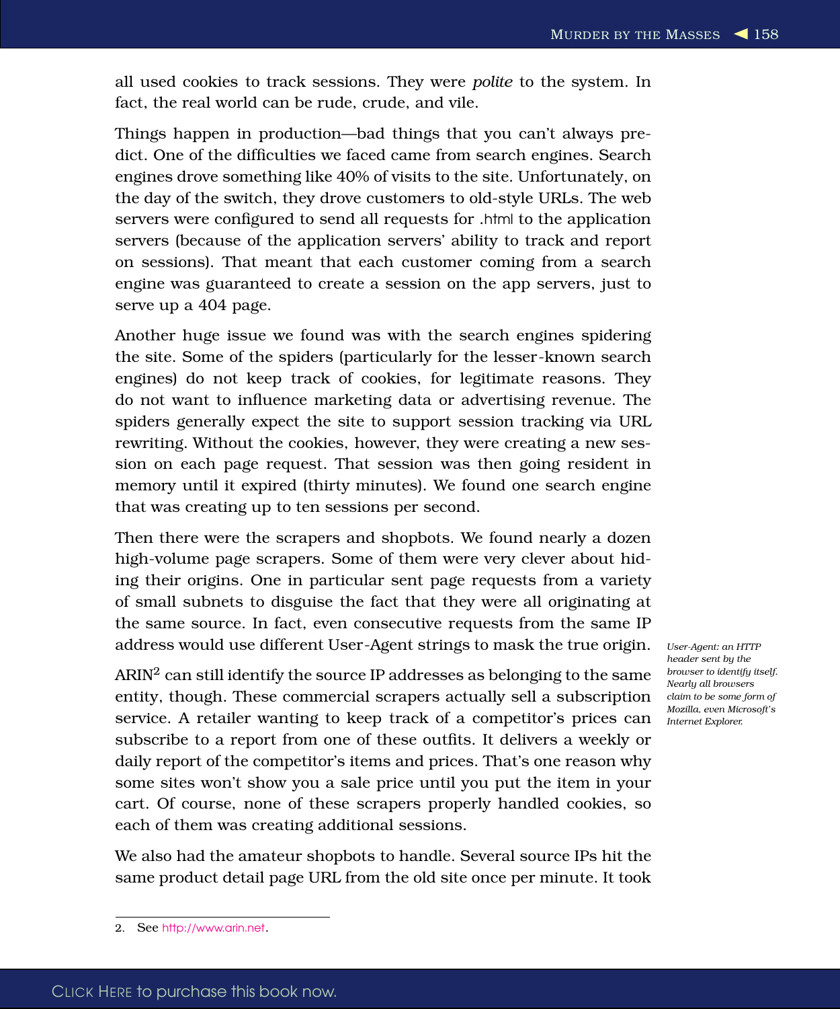all used cookies to track sessions. They were *polite* to the system. In fact, the real world can be rude, crude, and vile.

Things happen in production—bad things that you can't always predict. One of the difficulties we faced came from search engines. Search engines drove something like 40% of visits to the site. Unfortunately, on the day of the switch, they drove customers to old-style URLs. The web servers were configured to send all requests for .html to the application servers (because of the application servers' ability to track and report on sessions). That meant that each customer coming from a search engine was guaranteed to create a session on the app servers, just to serve up a 404 page.

Another huge issue we found was with the search engines spidering the site. Some of the spiders (particularly for the lesser-known search engines) do not keep track of cookies, for legitimate reasons. They do not want to influence marketing data or advertising revenue. The spiders generally expect the site to support session tracking via URL rewriting. Without the cookies, however, they were creating a new session on each page request. That session was then going resident in memory until it expired (thirty minutes). We found one search engine that was creating up to ten sessions per second.

Then there were the scrapers and shopbots. We found nearly a dozen high-volume page scrapers. Some of them were very clever about hiding their origins. One in particular sent page requests from a variety of small subnets to disguise the fact that they were all originating at the same source. In fact, even consecutive requests from the same IP address would use different User-Agent strings to mask the true origin. *User-Agent: an HTTP*

*claim to be some form of* entity, though. These commercial scrapers actually sell a subscription **INSERVICE.** A retailer wanting to keep track of a competitor's prices can *Internet Explorer.*  $ARIN<sup>2</sup>$  can still identify the source IP addresses as belonging to the same subscribe to a report from one of these outfits. It delivers a weekly or daily report of the competitor's items and prices. That's one reason why some sites won't show you a sale price until you put the item in your cart. Of course, none of these scrapers properly handled cookies, so each of them was creating additional sessions.

We also had the amateur shopbots to handle. Several source IPs hit the same product detail page URL from the old site once per minute. It took

*header sent by the browser to identify itself. Nearly all browsers Mozilla, even Microsoft's*

<sup>2.</sup> See <http://www.arin.net>.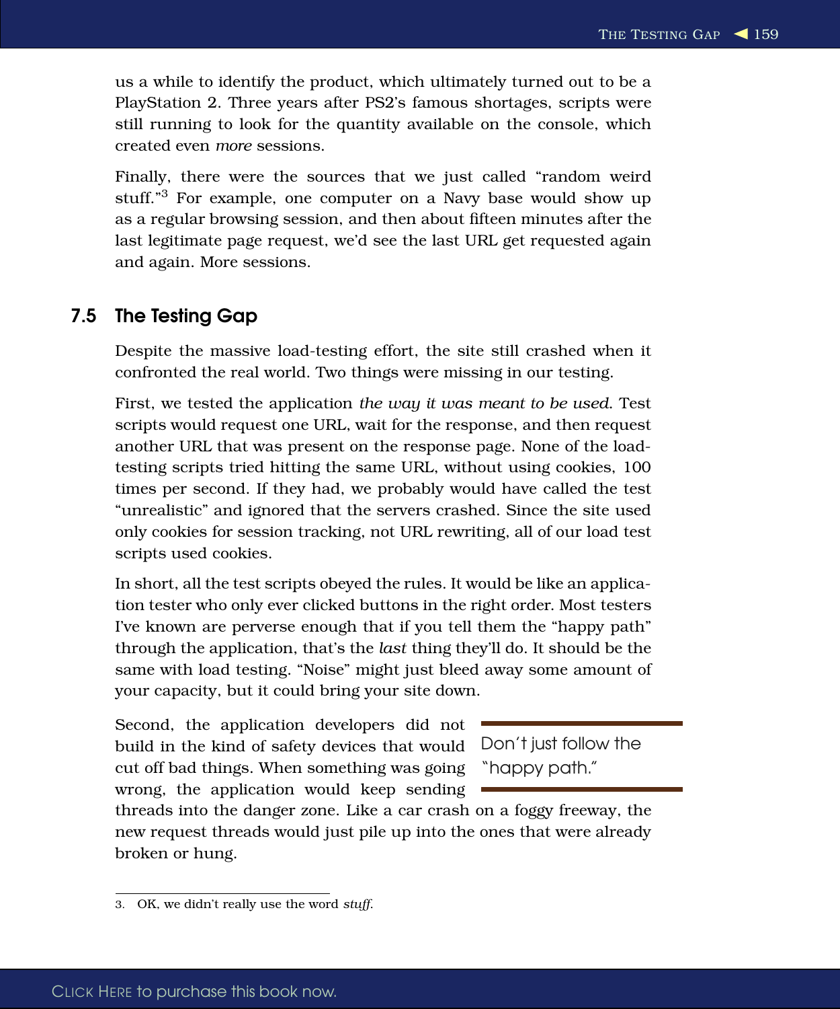us a while to identify the product, which ultimately turned out to be a PlayStation 2. Three years after PS2's famous shortages, scripts were still running to look for the quantity available on the console, which created even *more* sessions.

Finally, there were the sources that we just called "random weird stuff."<sup>3</sup> For example, one computer on a Navy base would show up as a regular browsing session, and then about fifteen minutes after the last legitimate page request, we'd see the last URL get requested again and again. More sessions.

### 7.5 The Testing Gap

Despite the massive load-testing effort, the site still crashed when it confronted the real world. Two things were missing in our testing.

First, we tested the application *the way it was meant to be used*. Test scripts would request one URL, wait for the response, and then request another URL that was present on the response page. None of the loadtesting scripts tried hitting the same URL, without using cookies, 100 times per second. If they had, we probably would have called the test "unrealistic" and ignored that the servers crashed. Since the site used only cookies for session tracking, not URL rewriting, all of our load test scripts used cookies.

In short, all the test scripts obeyed the rules. It would be like an application tester who only ever clicked buttons in the right order. Most testers I've known are perverse enough that if you tell them the "happy path" through the application, that's the *last* thing they'll do. It should be the same with load testing. "Noise" might just bleed away some amount of your capacity, but it could bring your site down.

cut off bad things. When something was going "happy path." Second, the application developers did not build in the kind of safety devices that would wrong, the application would keep sending

Don't just follow the

threads into the danger zone. Like a car crash on a foggy freeway, the new request threads would just pile up into the ones that were already broken or hung.

<sup>3.</sup> OK, we didn't really use the word *stuff*.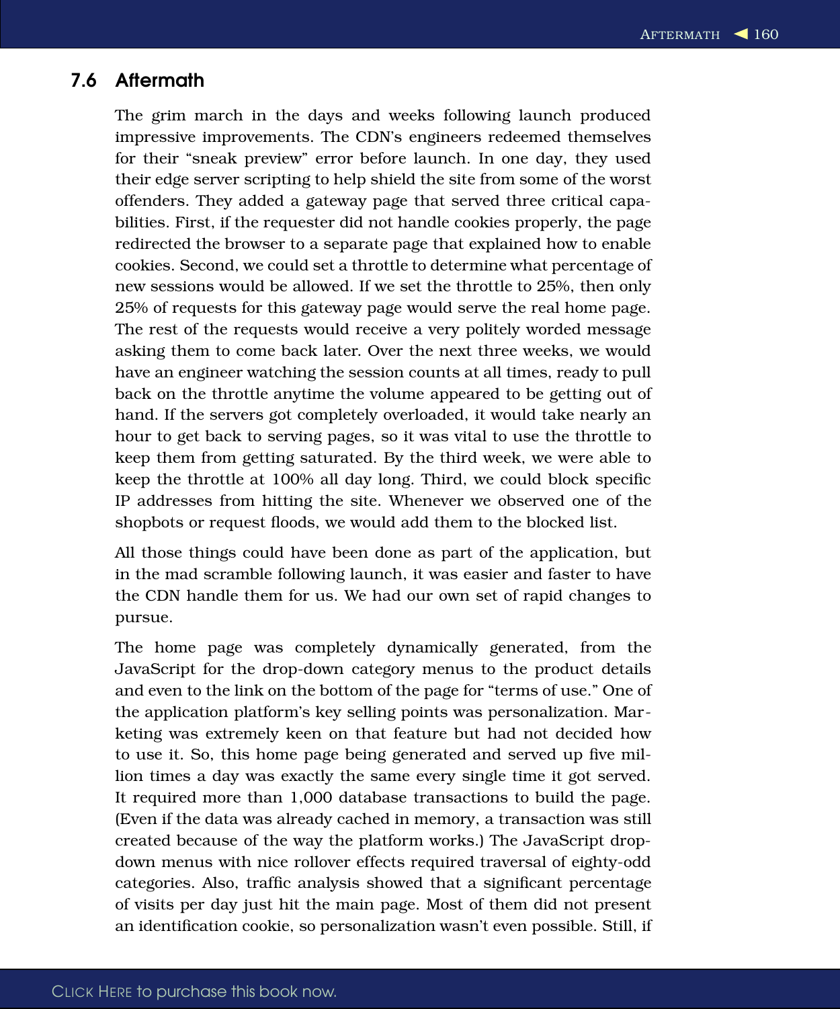### 7.6 Aftermath

The grim march in the days and weeks following launch produced impressive improvements. The CDN's engineers redeemed themselves for their "sneak preview" error before launch. In one day, they used their edge server scripting to help shield the site from some of the worst offenders. They added a gateway page that served three critical capabilities. First, if the requester did not handle cookies properly, the page redirected the browser to a separate page that explained how to enable cookies. Second, we could set a throttle to determine what percentage of new sessions would be allowed. If we set the throttle to 25%, then only 25% of requests for this gateway page would serve the real home page. The rest of the requests would receive a very politely worded message asking them to come back later. Over the next three weeks, we would have an engineer watching the session counts at all times, ready to pull back on the throttle anytime the volume appeared to be getting out of hand. If the servers got completely overloaded, it would take nearly an hour to get back to serving pages, so it was vital to use the throttle to keep them from getting saturated. By the third week, we were able to keep the throttle at 100% all day long. Third, we could block specific IP addresses from hitting the site. Whenever we observed one of the shopbots or request floods, we would add them to the blocked list.

All those things could have been done as part of the application, but in the mad scramble following launch, it was easier and faster to have the CDN handle them for us. We had our own set of rapid changes to pursue.

The home page was completely dynamically generated, from the JavaScript for the drop-down category menus to the product details and even to the link on the bottom of the page for "terms of use." One of the application platform's key selling points was personalization. Marketing was extremely keen on that feature but had not decided how to use it. So, this home page being generated and served up five million times a day was exactly the same every single time it got served. It required more than 1,000 database transactions to build the page. (Even if the data was already cached in memory, a transaction was still created because of the way the platform works.) The JavaScript dropdown menus with nice rollover effects required traversal of eighty-odd categories. Also, traffic analysis showed that a significant percentage of visits per day just hit the main page. Most of them did not present an identification cookie, so personalization wasn't even possible. Still, if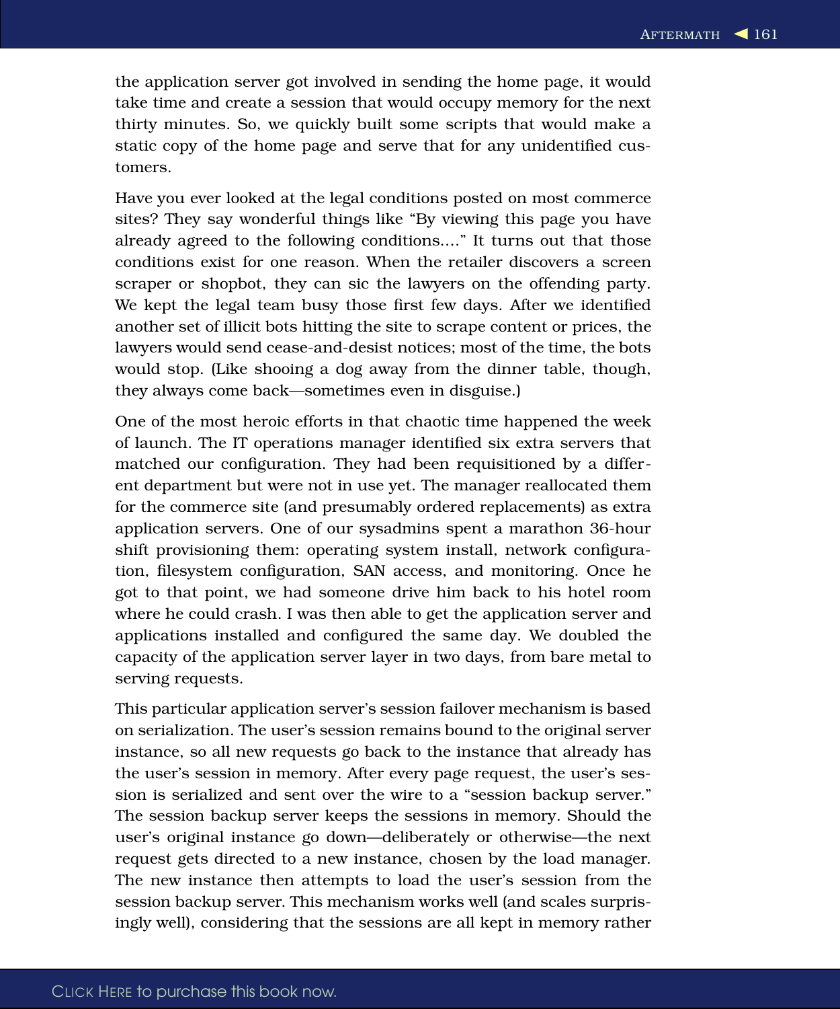the application server got involved in sending the home page, it would take time and create a session that would occupy memory for the next thirty minutes. So, we quickly built some scripts that would make a static copy of the home page and serve that for any unidentified customers.

Have you ever looked at the legal conditions posted on most commerce sites? They say wonderful things like "By viewing this page you have already agreed to the following conditions...." It turns out that those conditions exist for one reason. When the retailer discovers a screen scraper or shopbot, they can sic the lawyers on the offending party. We kept the legal team busy those first few days. After we identified another set of illicit bots hitting the site to scrape content or prices, the lawyers would send cease-and-desist notices; most of the time, the bots would stop. (Like shooing a dog away from the dinner table, though, they always come back—sometimes even in disguise.)

One of the most heroic efforts in that chaotic time happened the week of launch. The IT operations manager identified six extra servers that matched our configuration. They had been requisitioned by a different department but were not in use yet. The manager reallocated them for the commerce site (and presumably ordered replacements) as extra application servers. One of our sysadmins spent a marathon 36-hour shift provisioning them: operating system install, network configuration, filesystem configuration, SAN access, and monitoring. Once he got to that point, we had someone drive him back to his hotel room where he could crash. I was then able to get the application server and applications installed and configured the same day. We doubled the capacity of the application server layer in two days, from bare metal to serving requests.

This particular application server's session failover mechanism is based on serialization. The user's session remains bound to the original server instance, so all new requests go back to the instance that already has the user's session in memory. After every page request, the user's session is serialized and sent over the wire to a "session backup server." The session backup server keeps the sessions in memory. Should the user's original instance go down—deliberately or otherwise—the next request gets directed to a new instance, chosen by the load manager. The new instance then attempts to load the user's session from the session backup server. This mechanism works well (and scales surprisingly well), considering that the sessions are all kept in memory rather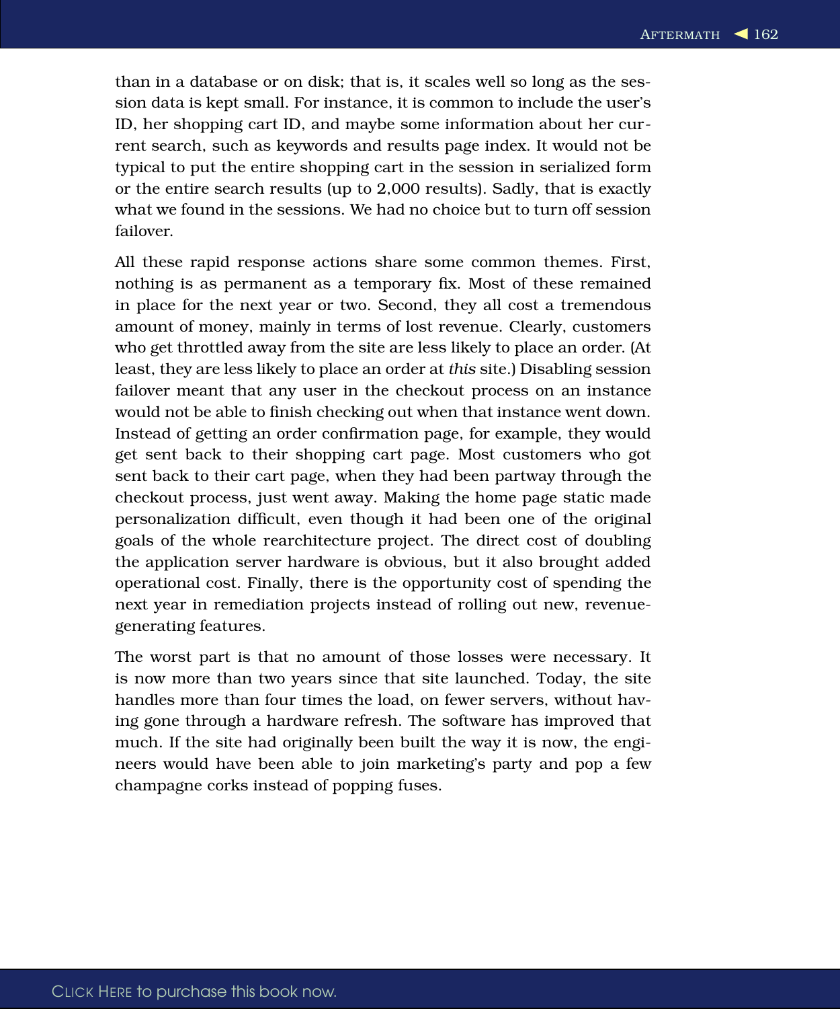than in a database or on disk; that is, it scales well so long as the session data is kept small. For instance, it is common to include the user's ID, her shopping cart ID, and maybe some information about her current search, such as keywords and results page index. It would not be typical to put the entire shopping cart in the session in serialized form or the entire search results (up to 2,000 results). Sadly, that is exactly what we found in the sessions. We had no choice but to turn off session failover.

All these rapid response actions share some common themes. First, nothing is as permanent as a temporary fix. Most of these remained in place for the next year or two. Second, they all cost a tremendous amount of money, mainly in terms of lost revenue. Clearly, customers who get throttled away from the site are less likely to place an order. (At least, they are less likely to place an order at *this* site.) Disabling session failover meant that any user in the checkout process on an instance would not be able to finish checking out when that instance went down. Instead of getting an order confirmation page, for example, they would get sent back to their shopping cart page. Most customers who got sent back to their cart page, when they had been partway through the checkout process, just went away. Making the home page static made personalization difficult, even though it had been one of the original goals of the whole rearchitecture project. The direct cost of doubling the application server hardware is obvious, but it also brought added operational cost. Finally, there is the opportunity cost of spending the next year in remediation projects instead of rolling out new, revenuegenerating features.

The worst part is that no amount of those losses were necessary. It is now more than two years since that site launched. Today, the site handles more than four times the load, on fewer servers, without having gone through a hardware refresh. The software has improved that much. If the site had originally been built the way it is now, the engineers would have been able to join marketing's party and pop a few champagne corks instead of popping fuses.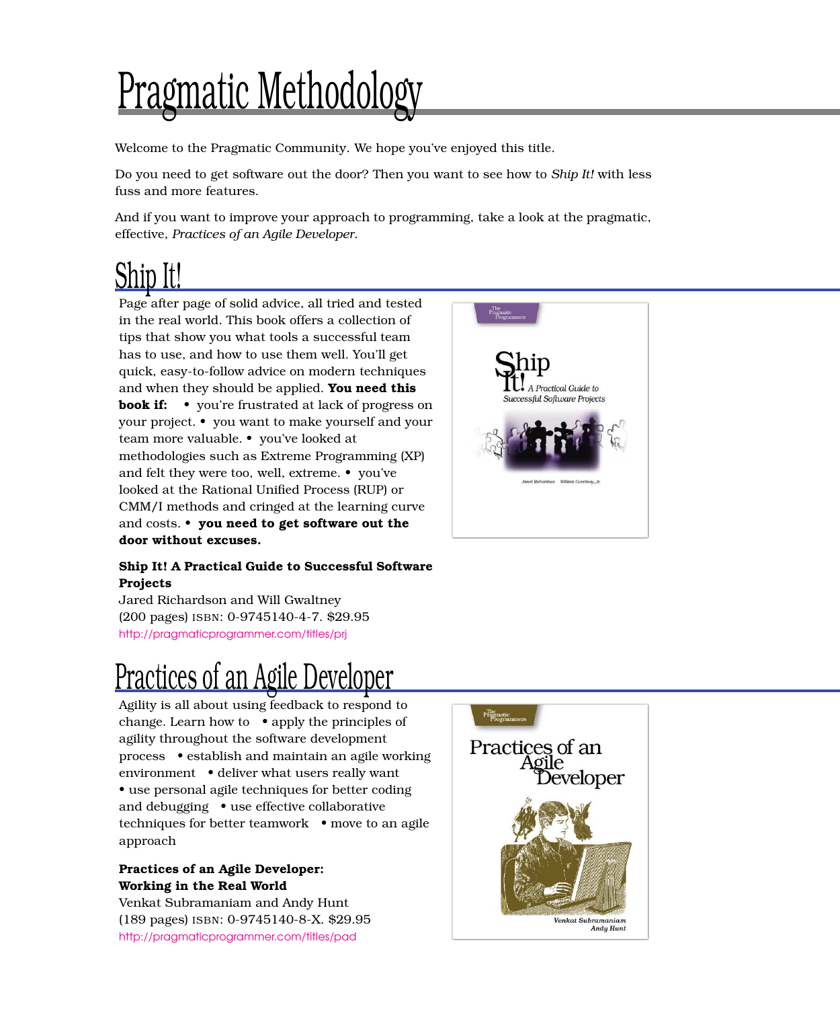## Pragmatic Methodology

Welcome to the Pragmatic Community. We hope you've enjoyed this title.

Do you need to get software out the door? Then you want to see how to *Ship It!* with less fuss and more features.

And if you want to improve your approach to programming, take a look at the pragmatic, effective, *Practices of an Agile Developer*.

### Ship It!

Page after page of solid advice, all tried and tested in the real world. This book offers a collection of tips that show you what tools a successful team has to use, and how to use them well. You'll get quick, easy-to-follow advice on modern techniques and when they should be applied. **You need this book if:** • you're frustrated at lack of progress on your project. • you want to make yourself and your team more valuable. • you've looked at methodologies such as Extreme Programming (XP) and felt they were too, well, extreme. • you've looked at the Rational Unified Process (RUP) or CMM/I methods and cringed at the learning curve and costs. • **you need to get software out the door without excuses.**

### **Ship It! A Practical Guide to Successful Software Projects**

Jared Richardson and Will Gwaltney (200 pages) ISBN: 0-9745140-4-7. \$29.95 <http://pragmaticprogrammer.com/titles/prj>

### Practices of an Agile Developer

Agility is all about using feedback to respond to change. Learn how to • apply the principles of agility throughout the software development process • establish and maintain an agile working environment • deliver what users really want • use personal agile techniques for better coding and debugging • use effective collaborative techniques for better teamwork • move to an agile approach

### **Practices of an Agile Developer: Working in the Real World**

Venkat Subramaniam and Andy Hunt (189 pages) ISBN: 0-9745140-8-X. \$29.95 <http://pragmaticprogrammer.com/titles/pad>